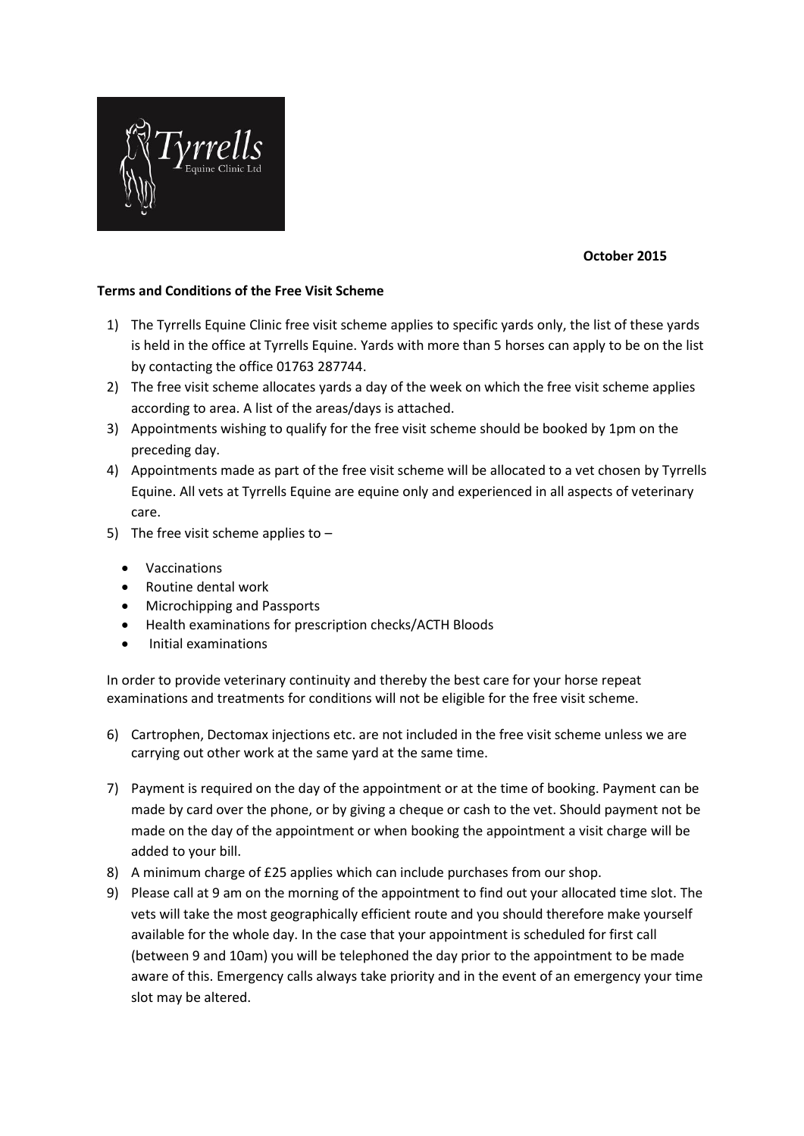

## **October 2015**

## **Terms and Conditions of the Free Visit Scheme**

- 1) The Tyrrells Equine Clinic free visit scheme applies to specific yards only, the list of these yards is held in the office at Tyrrells Equine. Yards with more than 5 horses can apply to be on the list by contacting the office 01763 287744.
- 2) The free visit scheme allocates yards a day of the week on which the free visit scheme applies according to area. A list of the areas/days is attached.
- 3) Appointments wishing to qualify for the free visit scheme should be booked by 1pm on the preceding day.
- 4) Appointments made as part of the free visit scheme will be allocated to a vet chosen by Tyrrells Equine. All vets at Tyrrells Equine are equine only and experienced in all aspects of veterinary care.
- 5) The free visit scheme applies to
	- Vaccinations
	- Routine dental work
	- Microchipping and Passports
	- Health examinations for prescription checks/ACTH Bloods
	- Initial examinations

In order to provide veterinary continuity and thereby the best care for your horse repeat examinations and treatments for conditions will not be eligible for the free visit scheme.

- 6) Cartrophen, Dectomax injections etc. are not included in the free visit scheme unless we are carrying out other work at the same yard at the same time.
- 7) Payment is required on the day of the appointment or at the time of booking. Payment can be made by card over the phone, or by giving a cheque or cash to the vet. Should payment not be made on the day of the appointment or when booking the appointment a visit charge will be added to your bill.
- 8) A minimum charge of £25 applies which can include purchases from our shop.
- 9) Please call at 9 am on the morning of the appointment to find out your allocated time slot. The vets will take the most geographically efficient route and you should therefore make yourself available for the whole day. In the case that your appointment is scheduled for first call (between 9 and 10am) you will be telephoned the day prior to the appointment to be made aware of this. Emergency calls always take priority and in the event of an emergency your time slot may be altered.